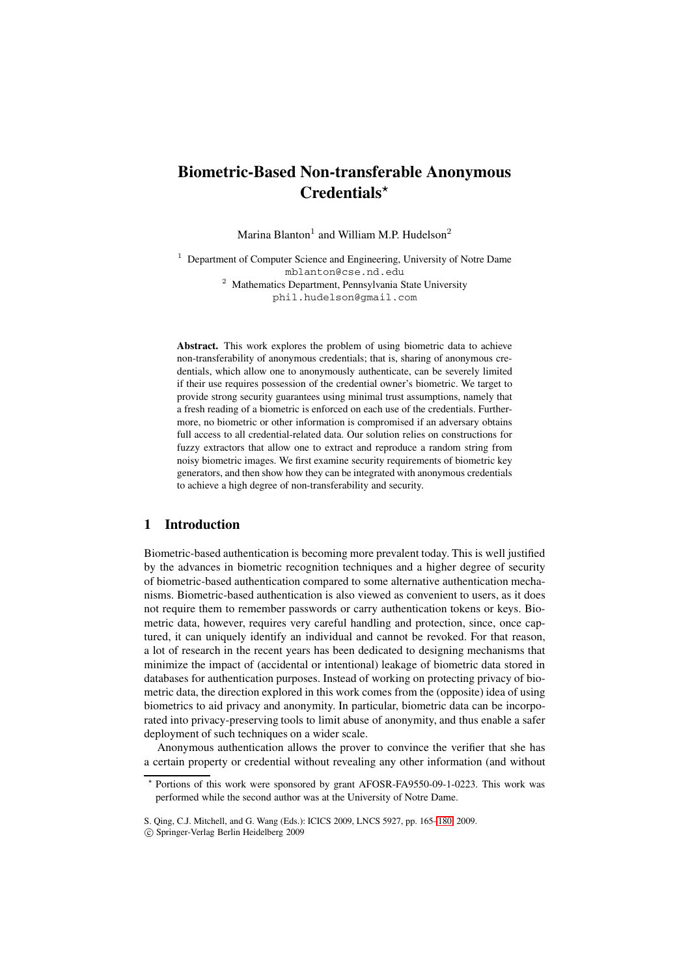# **Biometric-Based Non-transferable Anonymous Credentials***-*

Marina Blanton<sup>1</sup> and William M.P. Hudelson<sup>2</sup>

<sup>1</sup> Department of Computer Science and Engineering, University of Notre Dame mblanton@cse.nd.edu <sup>2</sup> Mathematics Department, Pennsylvania State University phil.hudelson@gmail.com

**Abstract.** This work explores the problem of using biometric data to achieve non-transferability of anonymous credentials; that is, sharing of anonymous credentials, which allow one to anonymously authenticate, can be severely limited if their use requires possession of the credential owner's biometric. We target to provide strong security guarantees using minimal trust assumptions, namely that a fresh reading of a biometric is enforced on each use of the credentials. Furthermore, no biometric or other information is compromised if an adversary obtains full access to all credential-related data. Our solution relies on constructions for fuzzy extractors that allow one to extract and reproduce a random string from noisy biometric images. We first examine security requirements of biometric key generators, and then show how they can be integrated with anonymous credentials to achieve a high degree of non-transferability and security.

# **1 Introduction**

Biometric-based authentication is becoming more prevalent today. This is well justified by the advances in biometric recognition techniques and a higher degree of security of biometric-based authentication compared to some alternative authentication mechanisms. Biometric-based authentication is also viewed as convenient to users, as it does not require them to remember passwords or carry authentication tokens or keys. Biometric data, however, requires very careful handling and protection, since, once captured, it can uniquely identify an individual and cannot be revoked. For that reason, a lot of research in the recent years has been dedicated to designing mechanisms that minimize the impact of (accidental or intentional) leakage of biometric data stored in databases for authentication purposes. Instead of working on protecting privacy of biometric data, the direction explored in this work comes from the (opposite) idea of using biometrics to aid privacy and anonymity. In particular, biometric data can be incorporated into privacy-preserving tools to limit abuse of anonymity, and thus enable a safer deployment of such techniques on a wider scale.

Anonymous authentication allows the prover to convince the verifier that she has a certain property or credential without revealing any other information (and without

<sup>-</sup> Portions of this work were sponsored by grant AFOSR-FA9550-09-1-0223. This work was performed while the second author was at the University of Notre Dame.

S. Qing, C.J. Mitchell, and G. Wang (Eds.): ICICS 2009, LNCS 5927, pp. 165–180, 2009.

<sup>-</sup>c Springer-Verlag Berlin Heidelberg 2009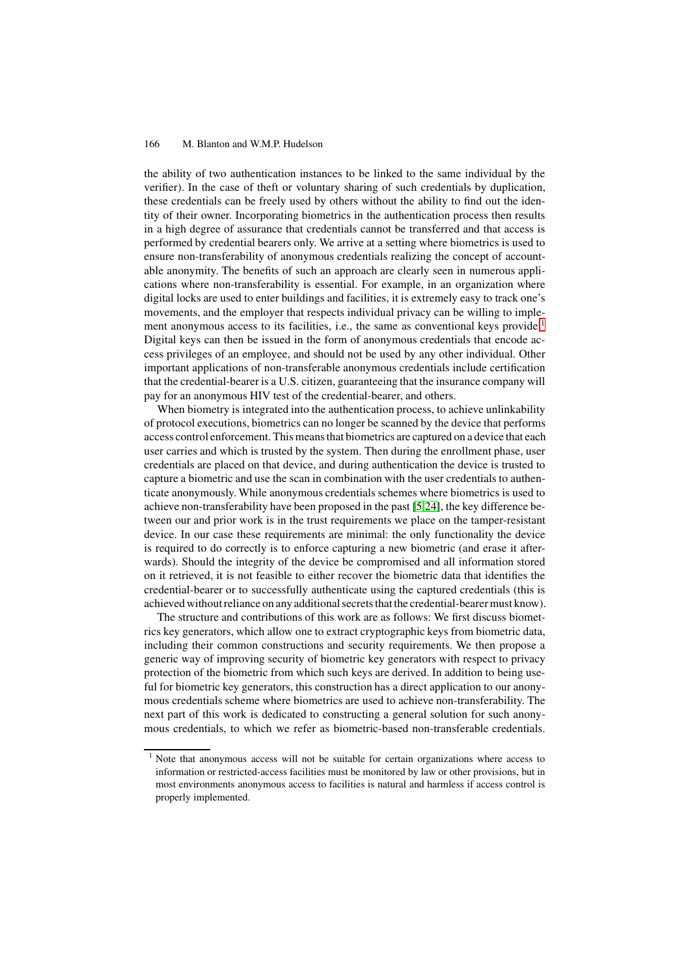the ability of two authentication instances to be linked to the same individual by the verifier). In the case of theft or voluntary sharing of such credentials by duplication, these credentials can be freely used by others without the ability to find out the identity of their owner. Incorporating biometrics in the authentication process then results in a high degree of assurance that credentials cannot be transferred and that access is performed by credential bearers only. We arrive at a setting where biometrics is used to ensure non-transferability of anonymous credentials realizing the concept of accountable anonymity. The benefits of such an approach are clearly seen in numerous applications where non-transferability is essential. For example, in an organization where digital locks are used to enter buildings and facilities, it is extremely easy to track one's movements, and the employer that respects individual privacy can be willing to implement anonymous access to its facilities, i.e., the same as conventional keys provide.<sup>1</sup> Digital keys can then be issued in the form of anonymous credentials that encode access privileges of an employee, and should not be used by any other individual. Other important applications of non-transferable anonymous credentials include certification that the credential-bearer is a U.S. citizen, guaranteeing that the insurance company wi[ll](#page-1-0) pay for an anonymous HIV test of the credential-bearer, and others.

When biometry is integrated into the authentication process, to achieve unlinkability of protocol executions, biometrics can no longer be scanned by the device that performs access control enforcement. This means that biometrics are captured on a device that each user carries and which is trusted by the system. Then during the enrollment phase, user credentials are placed on that device, and during authentication the device is trusted to capture a biometric and use the scan in combination with the user credentials to authenticate anonymously. While anonymous credentials schemes where biometrics is used to achieve non-transferability have been proposed in the past [5,24], the key difference between our and prior work is in the trust requirements we place on the tamper-resistant device. In our case these requirements are minimal: the only functionality the device is required to do correctly is to enforce capturing a new biometric (and erase it afterwards). Should the integrity of the device be compromise[d](#page-13-0) [and](#page-14-0) all information stored on it retrieved, it is not feasible to either recover the biometric data that identifies the credential-bearer or to successfully authenticate using the captured credentials (this is achieved without reliance on any additional secrets that the credential-bearer must know).

The structure and contributions of this work are as follows: We first discuss biometrics key generators, which allow one to extract cryptographic keys from biometric data, including their common constructions and security requirements. We then propose a generic way of improving security of biometric key generators with respect to privacy protection of the biometric from which such keys are derived. In addition to being useful for biometric key generators, this construction has a direct application to our anonymous credentials scheme where biometrics are used to achieve non-transferability. The next part of this work is dedicated to constructing a general solution for such anonymous credentials, to which we refer as biometric-based non-transferable credentials.

<span id="page-1-0"></span><sup>&</sup>lt;sup>1</sup> Note that anonymous access will not be suitable for certain organizations where access to information or restricted-access facilities must be monitored by law or other provisions, but in most environments anonymous access to facilities is natural and harmless if access control is properly implemented.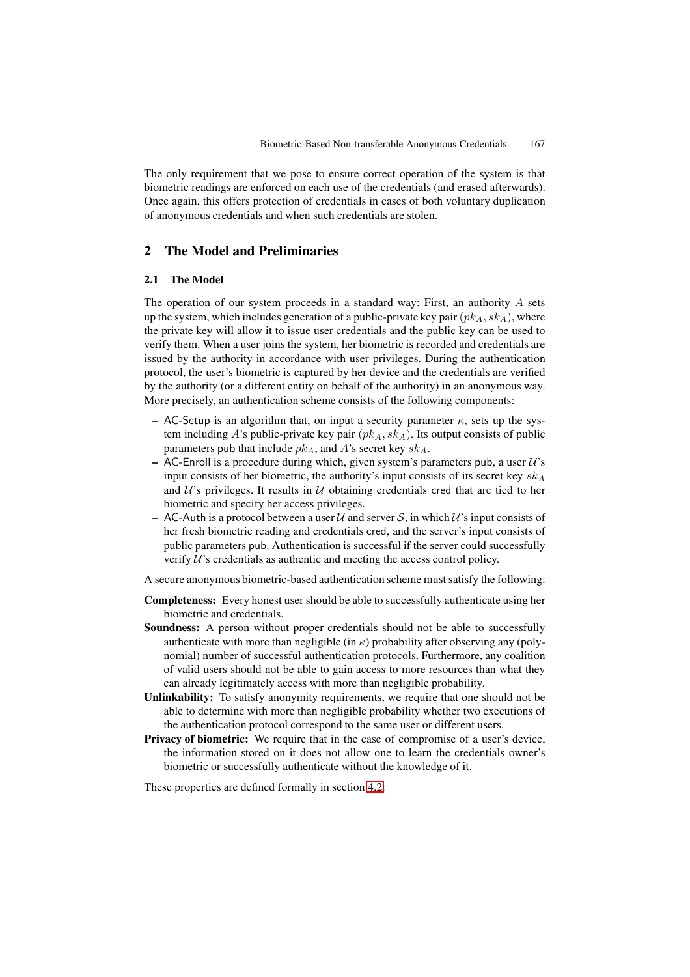The only requirement that we pose to ensure correct operation of the system is that biometric readings are enforced on each use of the credentials (and erased afterwards). Once again, this offers protection of credentials in cases of both voluntary duplication of anonymous credentials and when such credentials are stolen.

# **2 The Model and Preliminaries**

### **2.1 The Model**

The operation of our system proceeds in a standard way: First, an authority  $A$  sets up the system, which includes generation of a public-private key pair  $(pk_A, sk_A)$ , where the private key will allow it to issue user credentials and the public key can be used to verify them. When a user joins the system, her biometric is recorded and credentials are issued by the authority in accordance with user privileges. During the authentication protocol, the user's biometric is captured by her device and the credentials are verified by the authority (or a different entity on behalf of the authority) in an anonymous way. More precisely, an authentication scheme consists of the following components:

- **–** AC-Setup is an algorithm that, on input a security parameter  $\kappa$ , sets up the system including A's public-private key pair  $(pk_A, sk_A)$ . Its output consists of public parameters pub that include  $pk<sub>A</sub>$ , and A's secret key  $sk<sub>A</sub>$ .
- **–** AC-Enroll is a procedure during which, given system's parameters pub, a user U's input consists of her biometric, the authority's input consists of its secret key  $sk_A$ and  $U$ 's privileges. It results in  $U$  obtaining credentials cred that are tied to her biometric and specify her access privileges.
- **–** AC-Auth is a protocol between a user  $U$  and server S, in which  $U$ 's input consists of her fresh biometric reading and credentials cred, and the server's input consists of public parameters pub. Authentication is successful if the server could successfully verify  $U$ 's credentials as authentic and meeting the access control policy.

A secure anonymous biometric-based authentication scheme must satisfy the following:

- **Completeness:** Every honest user should be able to successfully authenticate using her biometric and credentials.
- **Soundness:** A person without proper credentials should not be able to successfully authenticate with more than negligible (in  $\kappa$ ) probability after observing any (polynomial) number of successful authentication protocols. Furthermore, any coalition of valid users should not be able to gain access to more resources than what they can already legitimately access with more than negligible probability.
- **Unlinkability:** To satisfy anonymity requirements, we require that one should not be able to determine with more than negligible probability whether two executions of the authentication protocol correspond to the same user or different users.
- **Privacy of biometric:** We require that in the case of compromise of a user's device, the information stored on it does not allow one to learn the credentials owner's biometric or successfully authenticate without the knowledge of it.

These properties are defined formally in section 4.2.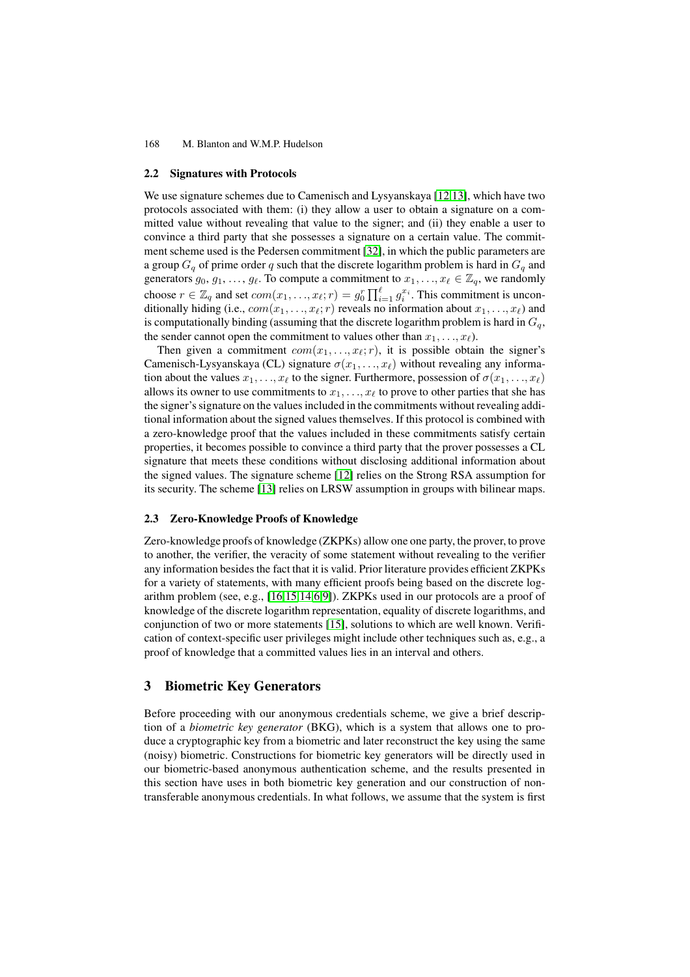#### **2.2 Signatures with Protocols**

We use signature schemes due to Camenisch and Lysyanskaya [12,13], which have two protocols associated with them: (i) they allow a user to obtain a signature on a committed value without revealing that value to the signer; and (ii) they enable a user to convince a third party that she possesses a signature on a certain value. The commitment scheme used is the Pedersen commitment [32], in which t[he p](#page-14-1)[ubl](#page-14-2)ic parameters are a group  $G_q$  of prime order q such that the discrete logarithm problem is hard in  $G_q$  and generators  $g_0, g_1, \ldots, g_\ell$ . To compute a commitment to  $x_1, \ldots, x_\ell \in \mathbb{Z}_q$ , we randomly choose  $r \in \mathbb{Z}_q$  and set  $com(x_1, ..., x_\ell; r) = g_0^r \prod_{i=1}^\ell g_i^{x_i}$ . This commitment is unconditionally hiding (i.e.,  $com(x_1, ..., x_\ell; r)$  revea[ls n](#page-15-0)o information about  $x_1, ..., x_\ell$ ) and is computationally binding (assuming that the discrete logarithm problem is hard in  $G_q$ , the sender cannot open the commitment to values other than  $x_1, \ldots, x_\ell$ ).

Then given a commitment  $com(x_1, \ldots, x_\ell; r)$ , it is possible obtain the signer's Camenisch-Lysyanskaya (CL) signature  $\sigma(x_1, \ldots, x_\ell)$  without revealing any information about the values  $x_1, \ldots, x_\ell$  to the signer. Furthermore, possession of  $\sigma(x_1, \ldots, x_\ell)$ allows its owner to use commitments to  $x_1, \ldots, x_\ell$  to prove to other parties that she has the signer's signature on the values included in the commitments without revealing additional information about the signed values themselves. If this protocol is combined with a zero-knowledge proof that the values included in these commitments satisfy certain properties, it becomes possible to convince a third party that the prover possesses a CL signature that meets these conditions without disclosing additional information about the signed values. The signature scheme [12] relies on the Strong RSA assumption for its security. The scheme [13] relies on LRSW assumption in groups with bilinear maps.

#### **2.3 Zero-Knowledge Proofs of Knowledge**

Zero-knowledge proofs [of kn](#page-14-2)owledge (Z[KPK](#page-14-1)s) allow one one party, the prover, to prove to another, the verifier, the veracity of some statement without revealing to the verifier any information besides the fact that it is valid. Prior literature provides efficient ZKPKs for a variety of statements, with many efficient proofs being based on the discrete logarithm problem (see, e.g.,  $[16, 15, 14, 6, 9]$ ). ZKPKs used in our protocols are a proof of knowledge of the discrete logarithm representation, equality of discrete logarithms, and conjunction of two or more statements [15], solutions to which are well known. Verification of context-specific user privileges might include other techniques such as, e.g., a proof of knowledge that a [com](#page-14-3)[mi](#page-14-4)[tte](#page-14-5)[d](#page-13-1) [val](#page-13-2)ues lies in an interval and others.

# **3 Biometric Key Generators**

<span id="page-3-0"></span>Before proceeding with our anonymous credentials scheme, we give a brief description of a *biometric key generator* (BKG), which is a system that allows one to produce a cryptographic key from a biometric and later reconstruct the key using the same (noisy) biometric. Constructions for biometric key generators will be directly used in our biometric-based anonymous authentication scheme, and the results presented in this section have uses in both biometric key generation and our construction of nontransferable anonymous credentials. In what follows, we assume that the system is first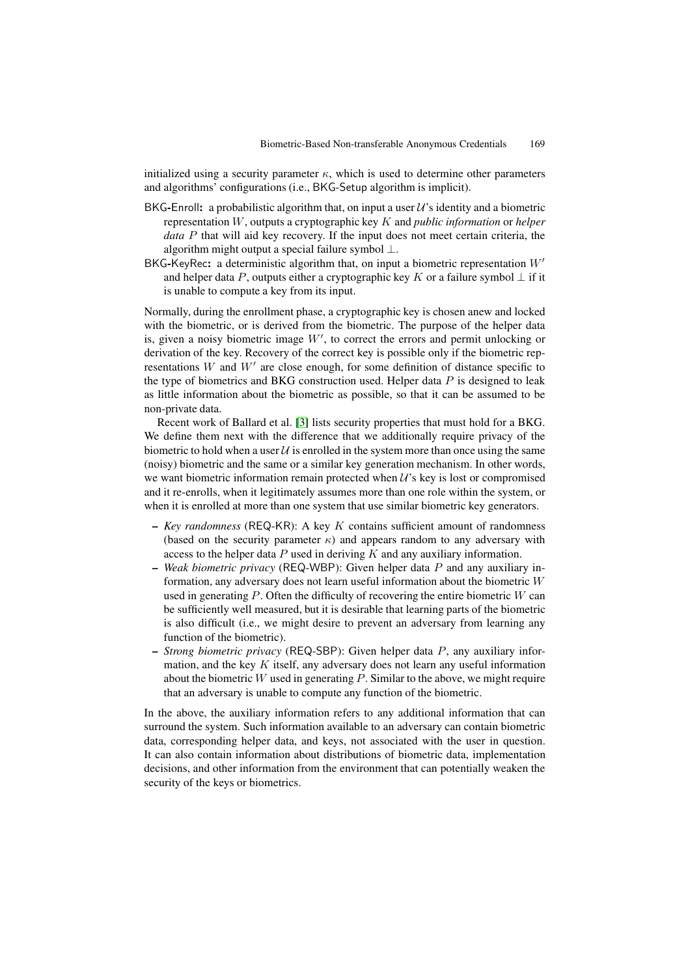initialized using a security parameter  $\kappa$ , which is used to determine other parameters and algorithms' configurations (i.e., BKG-Setup algorithm is implicit).

- BKG-Enroll: a probabilistic algorithm that, on input a user  $\mathcal{U}$ 's identity and a biometric representation W, outputs a cryptographic key K and *public information* or *helper data* P that will aid key recovery. If the input does not meet certain criteria, the algorithm might output a special failure symbol ⊥.
- BKG**-**KeyRec**:** a deterministic algorithm that, on input a biometric representation W and helper data P, outputs either a cryptographic key K or a failure symbol  $\perp$  if it is unable to compute a key from its input.

Normally, during the enrollment phase, a cryptographic key is chosen anew and locked with the biometric, or is derived from the biometric. The purpose of the helper data is, given a noisy biometric image  $W'$ , to correct the errors and permit unlocking or derivation of the key. Recovery of the correct key is possible only if the biometric representations W and  $W'$  are close enough, for some definition of distance specific to the type of biometrics and BKG construction used. Helper data  $P$  is designed to leak as little information about the biometric as possible, so that it can be assumed to be non-private data.

Recent work of Ballard et al. [3] lists security properties that must hold for a BKG. We define them next with the difference that we additionally require privacy of the biometric to hold when a user  $U$  is enrolled in the system more than once using the same (noisy) biometric and the same or a similar key generation mechanism. In other words, we want biometric information r[em](#page-13-3)ain protected when  $\mathcal{U}$ 's key is lost or compromised and it re-enrolls, when it legitimately assumes more than one role within the system, or when it is enrolled at more than one system that use similar biometric key generators.

- **–** *Key randomness* (REQ-KR): A key K contains sufficient amount of randomness (based on the security parameter  $\kappa$ ) and appears random to any adversary with access to the helper data  $P$  used in deriving  $K$  and any auxiliary information.
- **–** *Weak biometric privacy* (REQ-WBP): Given helper data P and any auxiliary information, any adversary does not learn useful information about the biometric W used in generating  $P$ . Often the difficulty of recovering the entire biometric  $W$  can be sufficiently well measured, but it is desirable that learning parts of the biometric is also difficult (i.e., we might desire to prevent an adversary from learning any function of the biometric).
- **–** *Strong biometric privacy* (REQ-SBP): Given helper data P, any auxiliary information, and the key  $K$  itself, any adversary does not learn any useful information about the biometric  $W$  used in generating  $P$ . Similar to the above, we might require that an adversary is unable to compute any function of the biometric.

In the above, the auxiliary information refers to any additional information that can surround the system. Such information available to an adversary can contain biometric data, corresponding helper data, and keys, not associated with the user in question. It can also contain information about distributions of biometric data, implementation decisions, and other information from the environment that can potentially weaken the security of the keys or biometrics.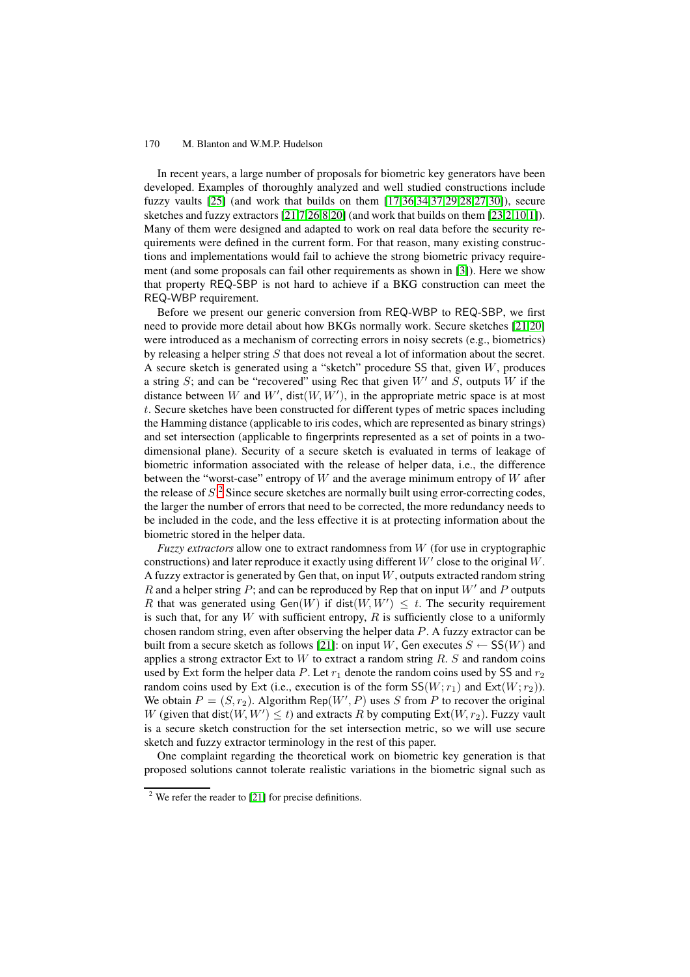In recent years, a large number of proposals for biometric key generators have been developed. Examples of thoroughly analyzed and well studied constructions include fuzzy vaults [25] (and work that builds on them [17,36,34,37,29,28,27,30]), secure sketches and fuzzy extractors [21,7,26,8,20] (and work that builds on them [23,2,10,1]). Many of them were designed and adapted to work on real data before the security requirements were defined in the current form. For that reason, many existing constructions and imp[lem](#page-14-6)entations would fail to achieve th[e str](#page-14-7)[on](#page-15-1)[g b](#page-15-2)[iom](#page-15-3)[etr](#page-15-4)[ic](#page-14-8) [priv](#page-14-9)[acy](#page-15-5) requirement (and some proposals ca[n fa](#page-14-10)[il](#page-13-4) [oth](#page-14-11)[er](#page-13-5) [req](#page-14-12)uirements as shown in [3]). H[ere](#page-14-13) [w](#page-13-6)[e s](#page-14-14)[ho](#page-13-7)w that property REQ-SBP is not hard to achieve if a BKG construction can meet the REQ-WBP requirement.

Before we present our generic conversion from REQ-WBP to REQ-SBP, we first need to provide more detail about how BKGs normally work. Secu[re](#page-13-3) sketches [21,20] were introduced as a mechanism of correcting errors in noisy secrets (e.g., biometrics) by releasing a helper string  $S$  that does not reveal a lot of information about the secret. A secure sketch is generated using a "sketch" procedure SS that, given W, produces a string  $S$ ; and can be "recovered" using Rec that given  $W'$  and  $S$ , outputs  $W$  [if](#page-14-10) [the](#page-14-12) distance between W and W', dist $(W, W')$ , in the appropriate metric space is at most t. Secure sketches have been constructed for different types of metric spaces including the Hamming distance (applicable to iris codes, which are represented as binary strings) and set intersection (applicable to fingerprints represented as a set of points in a twodimensional plane). Security of a secure sketch is evaluated in terms of leakage of biometric information associated with the release of helper data, i.e., the difference between the "worst-case" entropy of  $W$  and the average minimum entropy of  $W$  after the release of  $S<sup>2</sup>$ . Since secure sketches are normally built using error-correcting codes, the larger the number of errors that need to be corrected, the more redundancy needs to be included in the code, and the less effective it is at protecting information about the biometric stored in the helper data.

*Fuzzy extrac[to](#page-5-0)rs* allow one to extract randomness from W (for use in cryptographic constructions) and later reproduce it exactly using different  $W'$  close to the original  $W$ . A fuzzy extractor is generated by Gen that, on input  $W$ , outputs extracted random string  $R$  and a helper string  $P$ ; and can be reproduced by Rep that on input  $W'$  and  $P$  outputs R that was generated using  $Gen(W)$  if dist $(W, W') \leq t$ . The security requirement is such that, for any W with sufficient entropy,  $R$  is sufficiently close to a uniformly chosen random string, even after observing the helper data P. A fuzzy extractor can be built from a secure sketch as follows [21]: on input W, Gen executes  $S \leftarrow SS(W)$  and applies a strong extractor Ext to  $W$  to extract a random string  $R$ .  $S$  and random coins used by Ext form the helper data P. Let  $r_1$  denote the random coins used by SS and  $r_2$ random coins used by Ext (i.e., execution is of the form  $SS(W; r_1)$  and  $Ext(W; r_2)$ ). We obtain  $P = (S, r_2)$ . Algorithm R[ep](#page-14-10) $(W', P)$  uses S from P to recover the original W (given that dist $(W, W') \le t$ ) and extracts R by computing Ext $(W, r_2)$ . Fuzzy vault is a secure sketch construction for the set intersection metric, so we will use secure sketch and fuzzy extractor terminology in the rest of this paper.

One complaint regarding the theoretical work on biometric key generation is that proposed solutions cannot tolerate realistic variations in the biometric signal such as

<span id="page-5-0"></span> $2$  We refer the reader to [21] for precise definitions.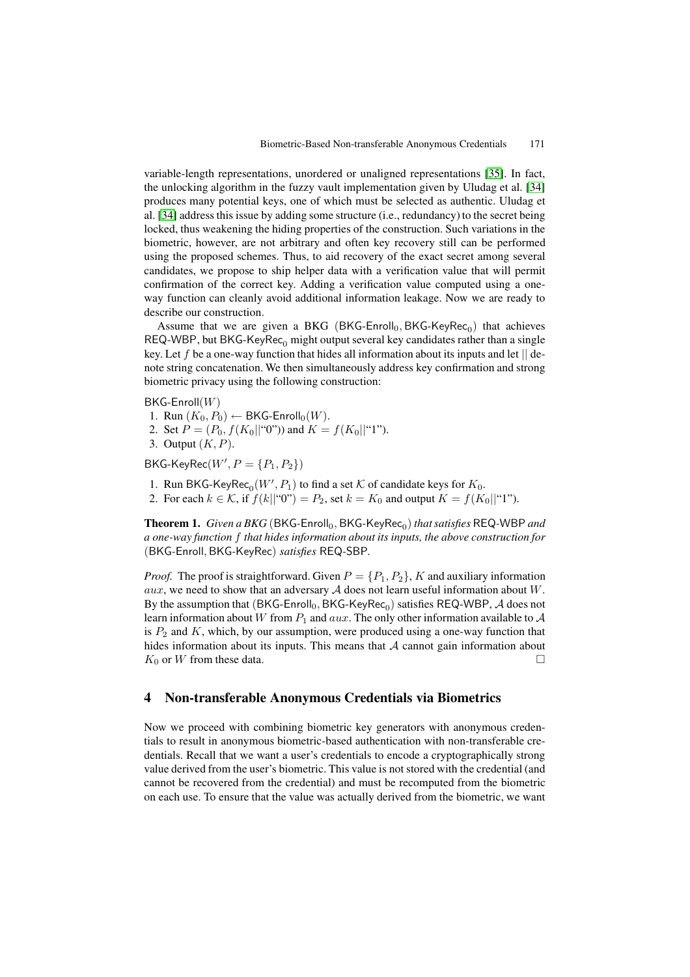variable-length representations, unordered or unaligned representations [35]. In fact, the unlocking algorithm in the fuzzy vault implementation given by Uludag et al. [34] produces many potential keys, one of which must be selected as authentic. Uludag et al. [34] address this issue by adding some structure (i.e., redundancy) to the secret being locked, thus weakening the hiding properties of the construction. Such var[iatio](#page-15-6)ns in the biometric, however, are not arbitrary and often key recovery still can be perfor[med](#page-15-2) using the proposed schemes. Thus, to aid recovery of the exact secret among several ca[ndid](#page-15-2)ates, we propose to ship helper data with a verification value that will permit confirmation of the correct key. Adding a verification value computed using a oneway function can cleanly avoid additional information leakage. Now we are ready to describe our construction.

Assume that we are given a BKG (BKG-Enroll<sub>0</sub>, BKG-KeyRec<sub>0</sub>) that achieves  $REQ-WBP$ , but BKG-KeyRec<sub>0</sub> might output several key candidates rather than a single key. Let f be a one-way function that hides all information about its inputs and let  $||$  denote string concatenation. We then simultaneously address key confirmation and strong biometric privacy using the following construction:

 $BKG$ -Enroll $(W)$ 

- 1. Run  $(K_0, P_0) \leftarrow \mathsf{BKG\text{-}Enroll}_0(W)$ .
- 2. Set  $P = (P_0, f(K_0||\omega))$  and  $K = f(K_0||\omega)$ .
- 3. Output  $(K, P)$ .

BKG-KeyRec $(W', P = \{P_1, P_2\})$ 

- 1. Run BKG-KeyRec $_0(W', P_1)$  to find a set K of candidate keys for  $K_0$ .
- 2. For each  $k \in \mathcal{K}$ , if  $f(k||\omega) = P_2$ , set  $k = K_0$  and output  $K = f(K_0||\omega)$ .

**Theorem 1.** *Given a BKG* (BKG-Enroll<sub>0</sub>, BKG-KeyRec<sub>0</sub>) *that satisfies* REQ-WBP *and a one-way function* f *that hides information about its inputs, the above construction for* (BKG*-*Enroll, BKG*-*KeyRec) *satisfies* REQ*-*SBP*.*

*Proof.* The proof is straightforward. Given  $P = \{P_1, P_2\}$ , K and auxiliary information aux, we need to show that an adversary  $A$  does not learn useful information about  $W$ . By the assumption that  $(BKG\text{-}Enroll<sub>0</sub>, BKG\text{-}KeyRec<sub>0</sub>)$  satisfies REQ-WBP, A does not learn information about W from  $P_1$  and  $aux$ . The only other information available to A is  $P_2$  and K, which, by our assumption, were produced using a one-way function that hides information about its inputs. This means that  $A$  cannot gain information about  $K_0$  or W from these data.

# **4 Non-transferable Anonymous Credentials via Biometrics**

Now we proceed with combining biometric key generators with anonymous credentials to result in anonymous biometric-based authentication with non-transferable credentials. Recall that we want a user's credentials to encode a cryptographically strong value derived from the user's biometric. This value is not stored with the credential (and cannot be recovered from the credential) and must be recomputed from the biometric on each use. To ensure that the value was actually derived from the biometric, we want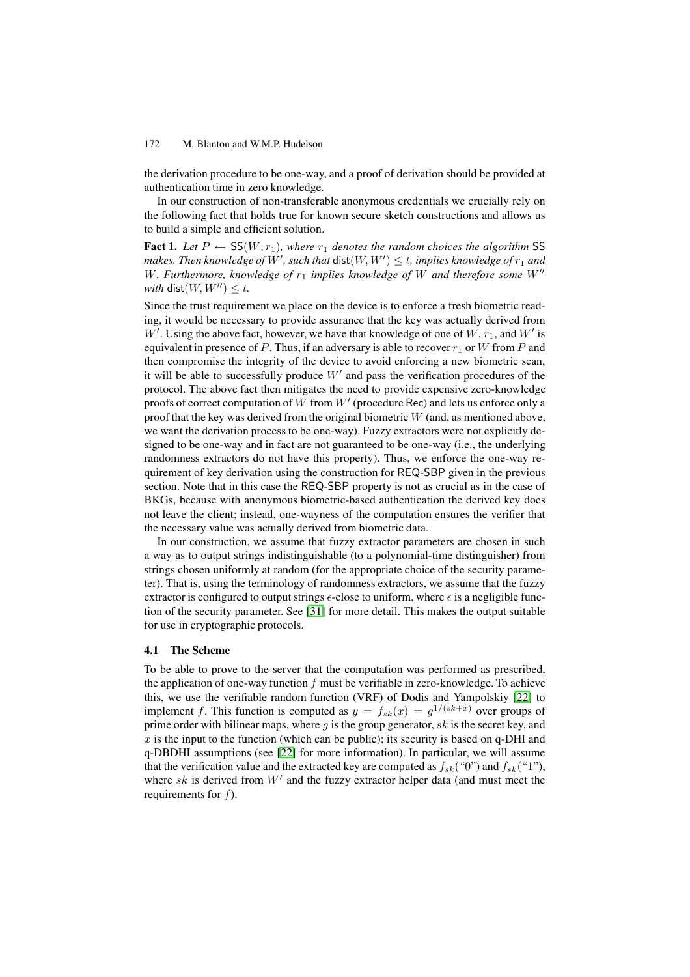the derivation procedure to be one-way, and a proof of derivation should be provided at authentication time in zero knowledge.

In our construction of non-transferable anonymous credentials we crucially rely on the following fact that holds true for known secure sketch constructions and allows us to build a simple and efficient solution.

**Fact 1.** Let  $P \leftarrow SS(W; r_1)$ , where  $r_1$  denotes the random choices the algorithm SS makes. Then knowledge of  $W'$ , such that  $\mathsf{dist}(W,W') \leq t$ , implies knowledge of  $r_1$  and  $W$ . Furthermore, knowledge of  $r_1$  implies knowledge of  $W$  and therefore some  $W''$  $with \; dist(W, W'') \leq t.$ 

Since the trust requirement we place on the device is to enforce a fresh biometric reading, it would be necessary to provide assurance that the key was actually derived from W'. Using the above fact, however, we have that knowledge of one of  $W$ ,  $r_1$ , and  $W'$  is equivalent in presence of P. Thus, if an adversary is able to recover  $r_1$  or W from P and then compromise the integrity of the device to avoid enforcing a new biometric scan, it will be able to successfully produce  $W'$  and pass the verification procedures of the protocol. The above fact then mitigates the need to provide expensive zero-knowledge proofs of correct computation of W from W' (procedure Rec) and lets us enforce only a proof that the key was derived from the original biometric  $W$  (and, as mentioned above, we want the derivation process to be one-way). Fuzzy extractors were not explicitly designed to be one-way and in fact are not guaranteed to be one-way (i.e., the underlying randomness extractors do not have this property). Thus, we enforce the one-way requirement of key derivation using the construction for REQ-SBP given in the previous section. Note that in this case the REQ-SBP property is not as crucial as in the case of BKGs, because with anonymous biometric-based authentication the derived key does not leave the client; instead, one-wayness of the computation ensures the verifier that the necessary value was actually derived from biometric data.

In our construction, we assume that fuzzy extractor parameters are chosen in such a way as to output strings indistinguishable (to a polynomial-time distinguisher) from strings chosen uniformly at random (for the appropriate choice of the security parameter). That is, using the terminology of randomness extractors, we assume that the fuzzy extractor is configured to output strings  $\epsilon$ -close to uniform, where  $\epsilon$  is a negligible function of the security parameter. See [31] for more detail. This makes the output suitable for use in cryptographic protocols.

### **4.1 The Scheme**

To be able to prove to the server t[hat](#page-15-7) the computation was performed as prescribed, the application of one-way function  $f$  must be verifiable in zero-knowledge. To achieve this, we use the verifiable random function (VRF) of Dodis and Yampolskiy [22] to implement f. This function is computed as  $y = f_{sk}(x) = g^{1/(sk+x)}$  over groups of prime order with bilinear maps, where  $g$  is the group generator,  $sk$  is the secret key, and  $x$  is the input to the function (which can be public); its security is based on q-DHI and q-DBDHI assumptions (see [22] for more information). In particular, we will [assu](#page-14-15)me that the verification value and the extracted key are computed as  $f_{sk}("0")$  and  $f_{sk}("1")$ , where  $sk$  is derived from  $W'$  and the fuzzy extractor helper data (and must meet the requirements for  $f$ ).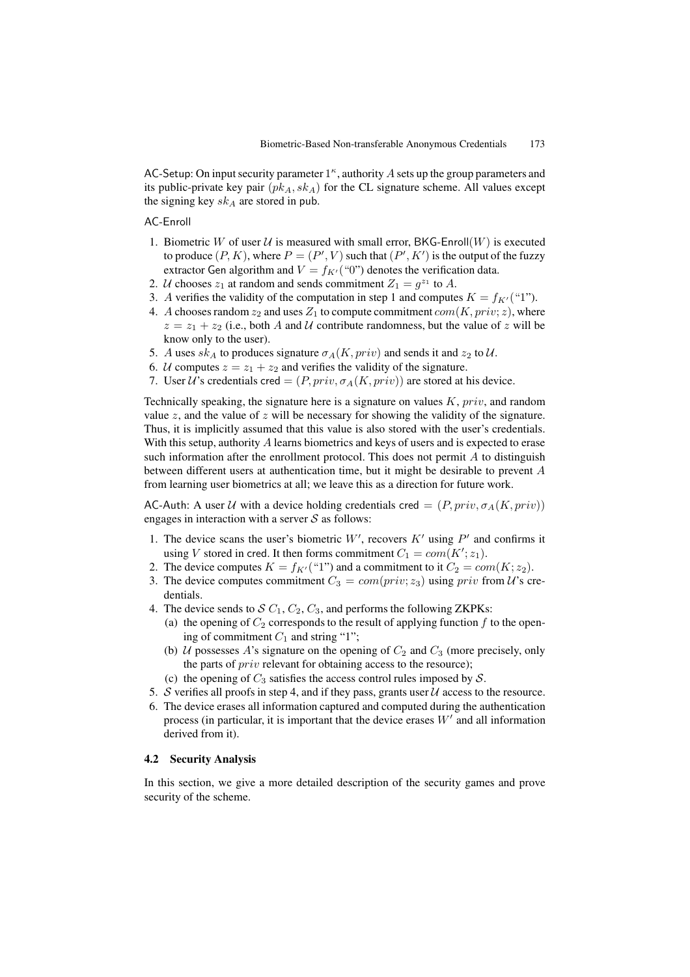AC-Setup: On input security parameter  $1<sup>\kappa</sup>$ , authority A sets up the group parameters and its public-private key pair  $(pk_A, sk_A)$  for the CL signature scheme. All values except the signing key  $sk_A$  are stored in pub.

# AC-Enroll

- 1. Biometric W of user  $U$  is measured with small error, BKG-Enroll(W) is executed to produce  $(P, K)$ , where  $P = (P', V)$  such that  $(P', K')$  is the output of the fuzzy extractor Gen algorithm and  $V = f_{K'}("0")$  denotes the verification data.
- 2. *U* chooses  $z_1$  at random and sends commitment  $Z_1 = g^{z_1}$  to A.
- 3. A verifies the validity of the computation in step 1 and computes  $K = f_{K'}("1")$ .
- 4. A chooses random  $z_2$  and uses  $Z_1$  to compute commitment  $com(K, priv; z)$ , where  $z = z_1 + z_2$  (i.e., both A and U contribute randomness, but the value of z will be know only to the user).
- 5. A uses  $sk_A$  to produces signature  $\sigma_A(K, priv)$  and sends it and  $z_2$  to  $\mathcal{U}$ .
- 6. *U* computes  $z = z_1 + z_2$  and verifies the validity of the signature.
- 7. User U's credentials cred =  $(P, priv, \sigma_A(K, priv))$  are stored at his device.

Technically speaking, the signature here is a signature on values  $K$ ,  $priv$ , and random value  $z$ , and the value of  $z$  will be necessary for showing the validity of the signature. Thus, it is implicitly assumed that this value is also stored with the user's credentials. With this setup, authority  $A$  learns biometrics and keys of users and is expected to erase such information after the enrollment protocol. This does not permit  $A$  to distinguish between different users at authentication time, but it might be desirable to prevent A from learning user biometrics at all; we leave this as a direction for future work.

AC-Auth: A user U with a device holding credentials cred =  $(P, priv, \sigma_A(K, priv))$ engages in interaction with a server  $S$  as follows:

- 1. The device scans the user's biometric  $W'$ , recovers  $K'$  using  $P'$  and confirms it using V stored in cred. It then forms commitment  $C_1 = com(K'; z_1)$ .
- 2. The device computes  $K = f_{K'}("1")$  and a commitment to it  $C_2 = com(K; z_2)$ .
- 3. The device computes commitment  $C_3 = com(priv; z_3)$  using priv from U's credentials.
- 4. The device sends to  $\mathcal{S} C_1, C_2, C_3$ , and performs the following ZKPKs:
	- (a) the opening of  $C_2$  corresponds to the result of applying function f to the opening of commitment  $C_1$  and string "1";
	- (b) U possesses A's signature on the opening of  $C_2$  and  $C_3$  (more precisely, only the parts of  $priv$  relevant for obtaining access to the resource);
	- (c) the opening of  $C_3$  satisfies the access control rules imposed by  $S$ .
- 5. S verifies all proofs in step 4, and if they pass, grants user  $U$  access to the resource.
- 6. The device erases all information captured and computed during the authentication process (in particular, it is important that the device erases  $W'$  and all information derived from it).

### **4.2 Security Analysis**

In this section, we give a more detailed description of the security games and prove security of the scheme.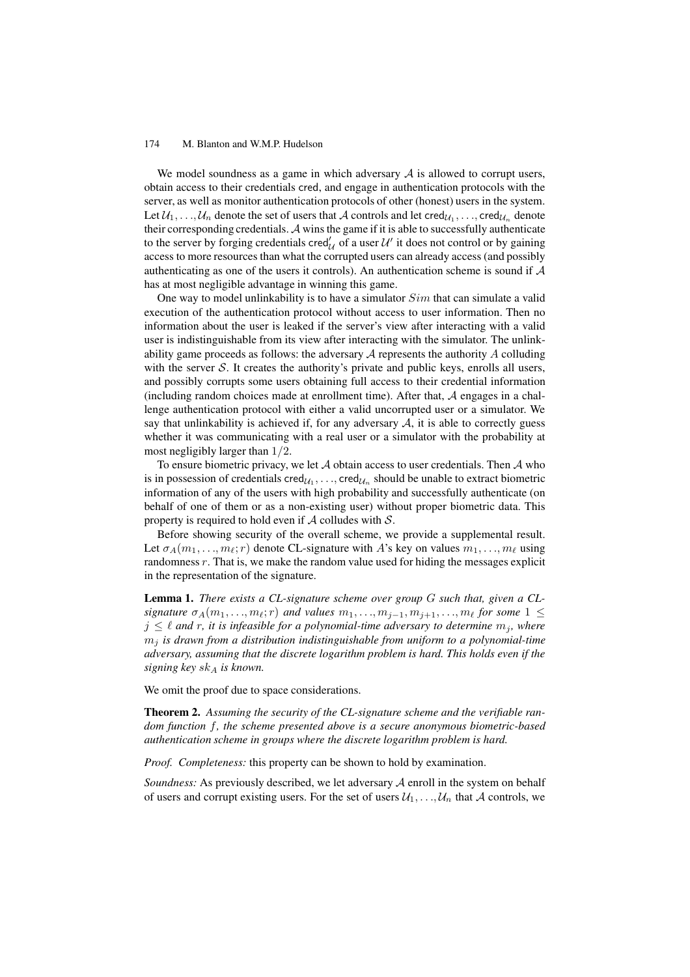We model soundness as a game in which adversary  $A$  is allowed to corrupt users, obtain access to their credentials cred, and engage in authentication protocols with the server, as well as monitor authentication protocols of other (honest) users in the system. Let  $\mathcal{U}_1, \ldots, \mathcal{U}_n$  denote the set of users that A controls and let cred<sub> $\mathcal{U}_1, \ldots,$  cred<sub> $\mathcal{U}_n$ </sub> denote</sub> their corresponding credentials. A wins the game if it is able to successfully authenticate to the server by forging credentials cred<sub>U</sub> of a user  $U'$  it does not control or by gaining access to more resources than what the corrupted users can already access (and possibly authenticating as one of the users it controls). An authentication scheme is sound if  $A$ has at most negligible advantage in winning this game.

One way to model unlinkability is to have a simulator Sim that can simulate a valid execution of the authentication protocol without access to user information. Then no information about the user is leaked if the server's view after interacting with a valid user is indistinguishable from its view after interacting with the simulator. The unlinkability game proceeds as follows: the adversary  $A$  represents the authority  $A$  colluding with the server  $S$ . It creates the authority's private and public keys, enrolls all users, and possibly corrupts some users obtaining full access to their credential information (including random choices made at enrollment time). After that,  $A$  engages in a challenge authentication protocol with either a valid uncorrupted user or a simulator. We say that unlinkability is achieved if, for any adversary  $A$ , it is able to correctly guess whether it was communicating with a real user or a simulator with the probability at most negligibly larger than 1/2.

To ensure biometric privacy, we let  $A$  obtain access to user credentials. Then  $A$  who is in possession of credentials  $\text{cred}_{U_1}, \ldots, \text{cred}_{U_n}$  should be unable to extract biometric information of any of the users with high probability and successfully authenticate (on behalf of one of them or as a non-existing user) without proper biometric data. This property is required to hold even if  $\mathcal A$  colludes with  $\mathcal S$ .

Before showing security of the overall scheme, we provide a supplemental result. Let  $\sigma_A(m_1, \ldots, m_\ell; r)$  denote CL-signature with A's key on values  $m_1, \ldots, m_\ell$  using randomness r. That is, we make the random value used for hiding the messages explicit in the representation of the signature.

**Lemma 1.** *There exists a CL-signature scheme over group* G *such that, given a CL* $signature \sigma_A(m_1, \ldots, m_\ell; r)$  *and values*  $m_1, \ldots, m_{j-1}, m_{j+1}, \ldots, m_\ell$  *for some*  $1 \leq$  $j \leq \ell$  and r, it is infeasible for a polynomial-time adversary to determine  $m_j$ , where m<sup>j</sup> *is drawn from a distribution indistinguishable from uniform to a polynomial-time adversary, assuming that the discrete logarithm problem is hard. This holds even if the*  $signing \; key \; sk_A \; is \; known.$ 

We omit the proof due to space considerations.

**Theorem 2.** *Assuming the security of the CL-signature scheme and the verifiable random function* f*, the scheme presented above is a secure anonymous biometric-based authentication scheme in groups where the discrete logarithm problem is hard.*

*Proof. Completeness:* this property can be shown to hold by examination.

*Soundness:* As previously described, we let adversary A enroll in the system on behalf of users and corrupt existing users. For the set of users  $\mathcal{U}_1, \ldots, \mathcal{U}_n$  that A controls, we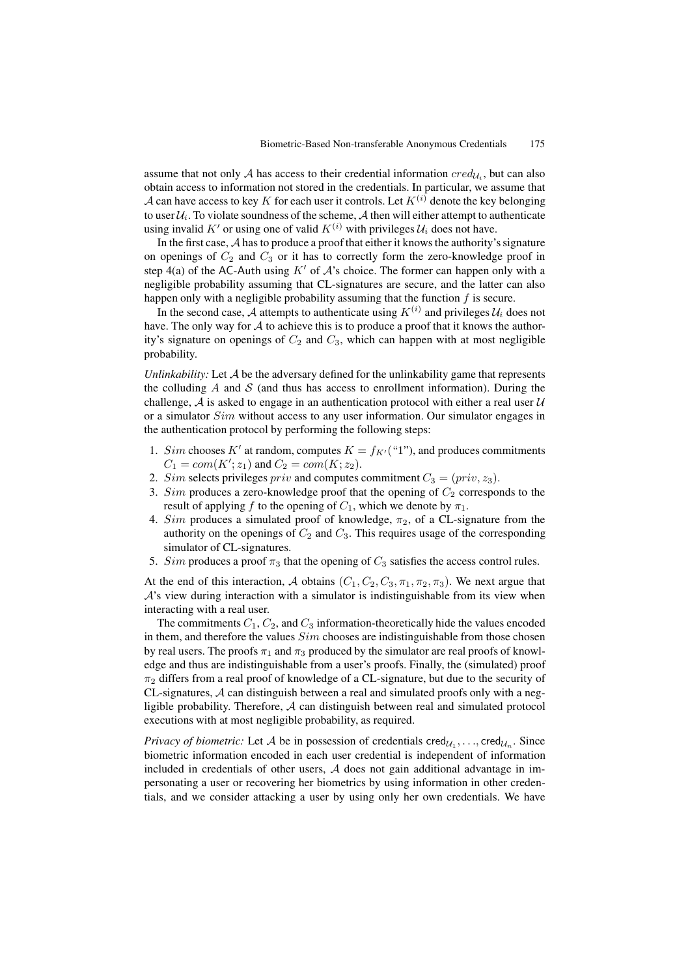assume that not only A has access to their credential information  $\text{cred}_{\mathcal{U}_i}$ , but can also obtain access to information not stored in the credentials. In particular, we assume that A can have access to key K for each user it controls. Let  $K^{(i)}$  denote the key belonging to user  $\mathcal{U}_i$ . To violate soundness of the scheme, A then will either attempt to authenticate using invalid  $K'$  or using one of valid  $K^{(i)}$  with privileges  $\mathcal{U}_i$  does not have.

In the first case, A has to produce a proof that either it knows the authority's signature on openings of  $C_2$  and  $C_3$  or it has to correctly form the zero-knowledge proof in step  $\overline{4}$ (a) of the AC-Auth using K' of A's choice. The former can happen only with a negligible probability assuming that CL-signatures are secure, and the latter can also happen only with a negligible probability assuming that the function  $f$  is secure.

In the second case, A attempts to authenticate using  $K^{(i)}$  and privileges  $\mathcal{U}_i$  does not have. The only way for  $A$  to achieve this is to produce a proof that it knows the authority's signature on openings of  $C_2$  and  $C_3$ , which can happen with at most negligible probability.

*Unlinkability:* Let A be the adversary defined for the unlinkability game that represents the colluding  $A$  and  $S$  (and thus has access to enrollment information). During the challenge,  $A$  is asked to engage in an authentication protocol with either a real user  $U$ or a simulator Sim without access to any user information. Our simulator engages in the authentication protocol by performing the following steps:

- 1. Sim chooses K' at random, computes  $K = f_{K'}("1")$ , and produces commitments  $C_1 = com(K'; z_1)$  and  $C_2 = com(K; z_2)$ .
- 2. Sim selects privileges priv and computes commitment  $C_3 = (priv, z_3)$ .
- 3. Sim produces a zero-knowledge proof that the opening of  $C_2$  corresponds to the result of applying f to the opening of  $C_1$ , which we denote by  $\pi_1$ .
- 4. Sim produces a simulated proof of knowledge,  $\pi_2$ , of a CL-signature from the authority on the openings of  $C_2$  and  $C_3$ . This requires usage of the corresponding simulator of CL-signatures.
- 5. Sim produces a proof  $\pi_3$  that the opening of  $C_3$  satisfies the access control rules.

At the end of this interaction, A obtains  $(C_1, C_2, C_3, \pi_1, \pi_2, \pi_3)$ . We next argue that  $A$ 's view during interaction with a simulator is indistinguishable from its view when interacting with a real user.

The commitments  $C_1$ ,  $C_2$ , and  $C_3$  information-theoretically hide the values encoded in them, and therefore the values  $Sim$  chooses are indistinguishable from those chosen by real users. The proofs  $\pi_1$  and  $\pi_3$  produced by the simulator are real proofs of knowledge and thus are indistinguishable from a user's proofs. Finally, the (simulated) proof  $\pi_2$  differs from a real proof of knowledge of a CL-signature, but due to the security of  $CL$ -signatures,  $A$  can distinguish between a real and simulated proofs only with a negligible probability. Therefore,  $\mathcal A$  can distinguish between real and simulated protocol executions with at most negligible probability, as required.

*Privacy of biometric:* Let A be in possession of credentials cred<sub> $U_1$ </sub>, ..., cred<sub> $U_n$ </sub>. Since biometric information encoded in each user credential is independent of information included in credentials of other users,  $A$  does not gain additional advantage in impersonating a user or recovering her biometrics by using information in other credentials, and we consider attacking a user by using only her own credentials. We have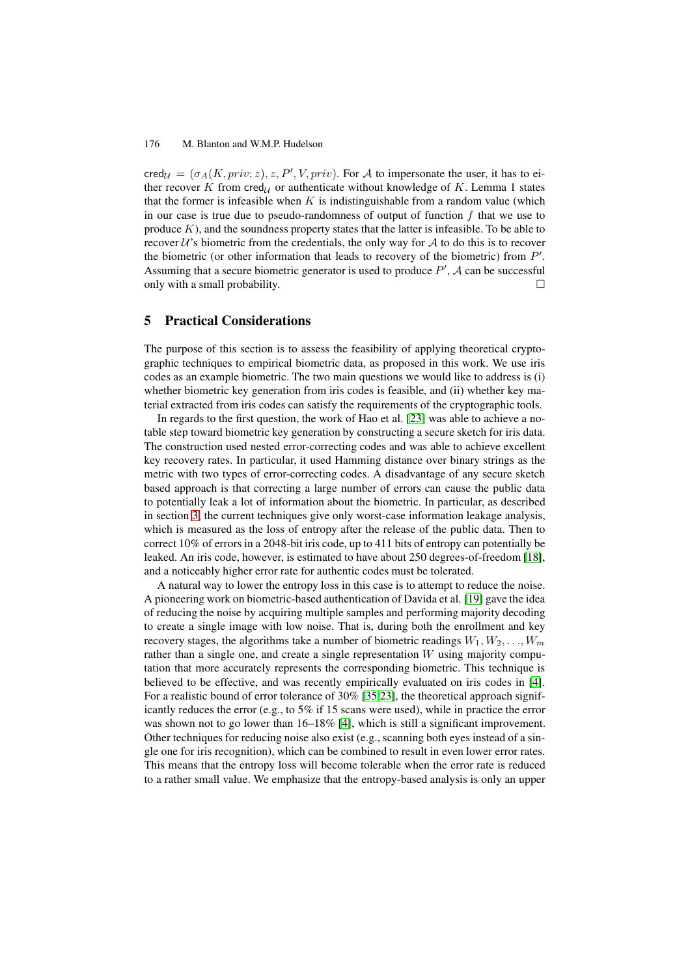cred<sub>U</sub> =  $(\sigma_A(K,priv; z), z, P', V, priv)$ . For A to impersonate the user, it has to either recover K from cred<sub>U</sub> or authenticate without knowledge of K. Lemma 1 states that the former is infeasible when  $K$  is indistinguishable from a random value (which in our case is true due to pseudo-randomness of output of function  $f$  that we use to produce  $K$ ), and the soundness property states that the latter is infeasible. To be able to recover  $U$ 's biometric from the credentials, the only way for  $A$  to do this is to recover the biometric (or other information that leads to recovery of the biometric) from  $P'$ . Assuming that a secure biometric generator is used to produce  $P'$ ,  $\mathcal A$  can be successful only with a small probability.  $\Box$ 

# **5 Practical Considerations**

The purpose of this section is to assess the feasibility of applying theoretical cryptographic techniques to empirical biometric data, as proposed in this work. We use iris codes as an example biometric. The two main questions we would like to address is (i) whether biometric key generation from iris codes is feasible, and (ii) whether key material extracted from iris codes can satisfy the requirements of the cryptographic tools.

In regards to the first question, the work of Hao et al. [23] was able to achieve a notable step toward biometric key generation by constructing a secure sketch for iris data. The construction used nested error-correcting codes and was able to achieve excellent key recovery rates. In particular, it used Hamming distance over binary strings as the metric with two types of error-correcting codes. A disa[dvan](#page-14-13)tage of any secure sketch based approach is that correcting a large number of errors can cause the public data to potentially leak a lot of information about the biometric. In particular, as described in section 3, the current techniques give only worst-case information leakage analysis, which is measured as the loss of entropy after the release of the public data. Then to correct 10% of errors in a 2048-bit iris code, up to 411 bits of entropy can potentially be leaked. An iris code, however, is estimated to have about 250 degrees-of-freedom [18], and a noti[ce](#page-3-0)ably higher error rate for authentic codes must be tolerated.

A natural way to lower the entropy loss in this case is to attempt to reduce the noise. A pioneering work on biometric-based authentication of Davida et al. [19] gave the idea of reducing the noise by acquiring multiple samples and performing majority deco[din](#page-14-16)g to create a single image with low noise. That is, during both the enrollment and key recovery stages, the algorithms take a number of biometric readings  $W_1, W_2, \ldots, W_m$ rather than a single one, and create a single representation  $W$  using [ma](#page-14-17)jority computation that more accurately represents the corresponding biometric. This technique is believed to be effective, and was recently empirically evaluated on iris codes in [4]. For a realistic bound of error tolerance of 30% [35,23], the theoretical approach significantly reduces the error (e.g., to 5% if 15 scans were used), while in practice the error was shown not to go lower than  $16-18\%$  [4], which is still a significant improvement. Other techniques for reducing noise also exist (e.g., scanning both eyes instead of a [sin](#page-13-8)gle one for iris recognition), which can be com[bine](#page-15-6)[d to](#page-14-13) result in even lower error rates. This means that the entropy loss will become tolerable when the error rate is reduced to a rather small value. We emphasize tha[t th](#page-13-8)e entropy-based analysis is only an upper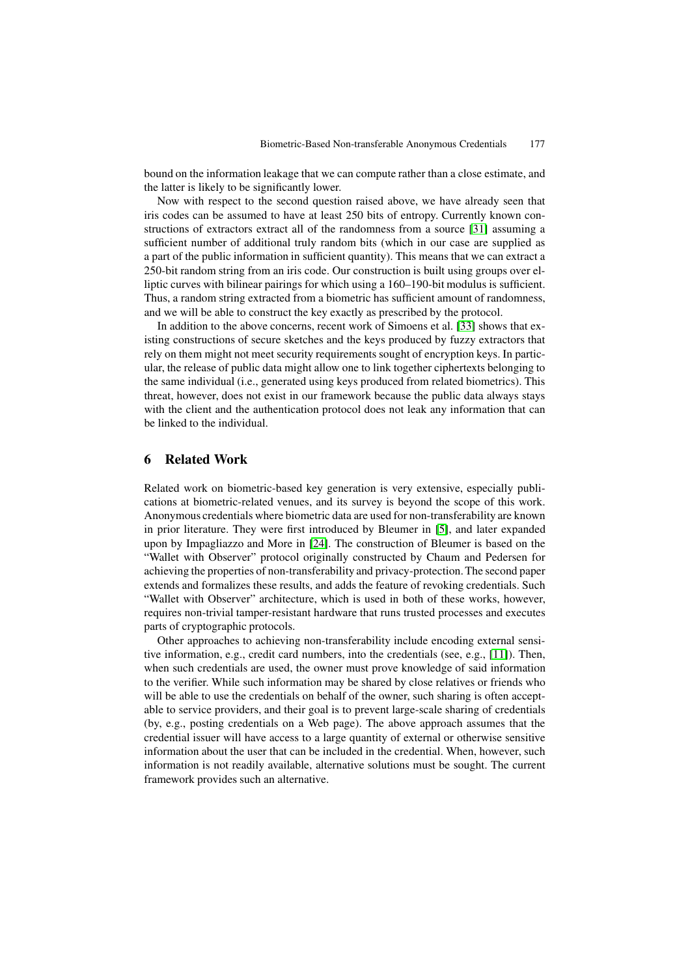bound on the information leakage that we can compute rather than a close estimate, and the latter is likely to be significantly lower.

Now with respect to the second question raised above, we have already seen that iris codes can be assumed to have at least 250 bits of entropy. Currently known constructions of extractors extract all of the randomness from a source [31] assuming a sufficient number of additional truly random bits (which in our case are supplied as a part of the public information in sufficient quantity). This means that we can extract a 250-bit random string from an iris code. Our construction is built using groups over elliptic curves with bilinear pairings for which using a 160–190-bit mod[ulus](#page-15-7) is sufficient. Thus, a random string extracted from a biometric has sufficient amount of randomness, and we will be able to construct the key exactly as prescribed by the protocol.

In addition to the above concerns, recent work of Simoens et al. [33] shows that existing constructions of secure sketches and the keys produced by fuzzy extractors that rely on them might not meet security requirements sought of encryption keys. In particular, the release of public data might allow one to link together ciphertexts belonging to the same individual (i.e., generated using keys produced from relate[d bi](#page-15-8)ometrics). This threat, however, does not exist in our framework because the public data always stays with the client and the authentication protocol does not leak any information that can be linked to the individual.

# **6 Related Work**

Related work on biometric-based key generation is very extensive, especially publications at biometric-related venues, and its survey is beyond the scope of this work. Anonymous credentials where biometric data are used for non-transferability are known in prior literature. They were first introduced by Bleumer in [5], and later expanded upon by Impagliazzo and More in [24]. The construction of Bleumer is based on the "Wallet with Observer" protocol originally constructed by Chaum and Pedersen for achieving the properties of non-transferability and privacy-protection. The second paper extends and formalizes these results, and adds the feature of rev[ok](#page-13-0)ing credentials. Such "Wallet with Observer" architectur[e, w](#page-14-0)hich is used in both of these works, however, requires non-trivial tamper-resistant hardware that runs trusted processes and executes parts of cryptographic protocols.

Other approaches to achieving non-transferability include encoding external sensitive information, e.g., credit card numbers, into the credentials (see, e.g., [11]). Then, when such credentials are used, the owner must prove knowledge of said information to the verifier. While such information may be shared by close relatives or friends who will be able to use the credentials on behalf of the owner, such sharing is often acceptable to service providers, and their goal is to prevent large-scale sharing o[f cre](#page-14-18)dentials (by, e.g., posting credentials on a Web page). The above approach assumes that the credential issuer will have access to a large quantity of external or otherwise sensitive information about the user that can be included in the credential. When, however, such information is not readily available, alternative solutions must be sought. The current framework provides such an alternative.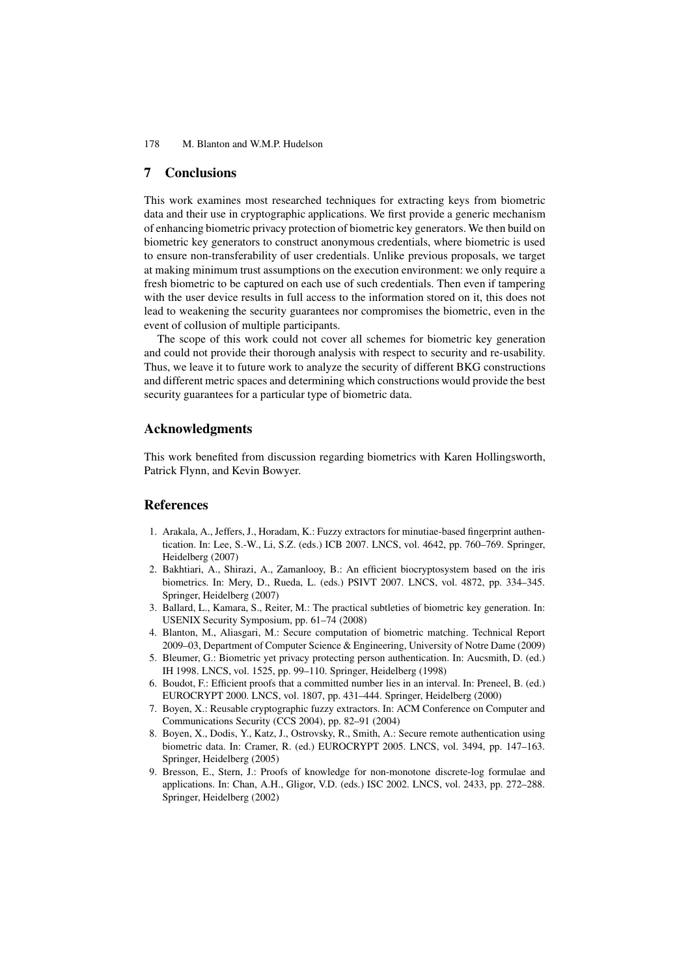# **7 Conclusions**

This work examines most researched techniques for extracting keys from biometric data and their use in cryptographic applications. We first provide a generic mechanism of enhancing biometric privacy protection of biometric key generators. We then build on biometric key generators to construct anonymous credentials, where biometric is used to ensure non-transferability of user credentials. Unlike previous proposals, we target at making minimum trust assumptions on the execution environment: we only require a fresh biometric to be captured on each use of such credentials. Then even if tampering with the user device results in full access to the information stored on it, this does not lead to weakening the security guarantees nor compromises the biometric, even in the event of collusion of multiple participants.

The scope of this work could not cover all schemes for biometric key generation and could not provide their thorough analysis with respect to security and re-usability. Thus, we leave it to future work to analyze the security of different BKG constructions and different metric spaces and determining which constructions would provide the best security guarantees for a particular type of biometric data.

# **Acknowledgments**

This work benefited from discussion regarding biometrics with Karen Hollingsworth, Patrick Flynn, and Kevin Bowyer.

# <span id="page-13-7"></span>**References**

- 1. Arakala, A., Jeffers, J., Horadam, K.: Fuzzy extractors for minutiae-based fingerprint authentication. In: Lee, S.-W., Li, S.Z. (eds.) ICB 2007. LNCS, vol. 4642, pp. 760–769. Springer, Heidelberg (2007)
- <span id="page-13-6"></span>2. Bakhtiari, A., Shirazi, A., Zamanlooy, B.: An efficient biocryptosystem based on the iris biometrics. In: Mery, D., Rueda, L. (eds.) PSIVT 2007. LNCS, vol. 4872, pp. 334–345. Springer, Heidelberg (2007)
- <span id="page-13-3"></span>3. Ballard, L., Kamara, S., Reiter, M.: The practical subtleties of biometric key generation. In: USENIX Security Symposium, pp. 61–74 (2008)
- <span id="page-13-8"></span>4. Blanton, M., Aliasgari, M.: Secure computation of biometric matching. Technical Report 2009–03, Department of Computer Science & Engineering, University of Notre Dame (2009)
- <span id="page-13-0"></span>5. Bleumer, G.: Biometric yet privacy protecting person authentication. In: Aucsmith, D. (ed.) IH 1998. LNCS, vol. 1525, pp. 99–110. Springer, Heidelberg (1998)
- <span id="page-13-1"></span>6. Boudot, F.: Efficient proofs that a committed number lies in an interval. In: Preneel, B. (ed.) EUROCRYPT 2000. LNCS, vol. 1807, pp. 431–444. Springer, Heidelberg (2000)
- <span id="page-13-4"></span>7. Boyen, X.: Reusable cryptographic fuzzy extractors. In: ACM Conference on Computer and Communications Security (CCS 2004), pp. 82–91 (2004)
- <span id="page-13-5"></span>8. Boyen, X., Dodis, Y., Katz, J., Ostrovsky, R., Smith, A.: Secure remote authentication using biometric data. In: Cramer, R. (ed.) EUROCRYPT 2005. LNCS, vol. 3494, pp. 147–163. Springer, Heidelberg (2005)
- <span id="page-13-2"></span>9. Bresson, E., Stern, J.: Proofs of knowledge for non-monotone discrete-log formulae and applications. In: Chan, A.H., Gligor, V.D. (eds.) ISC 2002. LNCS, vol. 2433, pp. 272–288. Springer, Heidelberg (2002)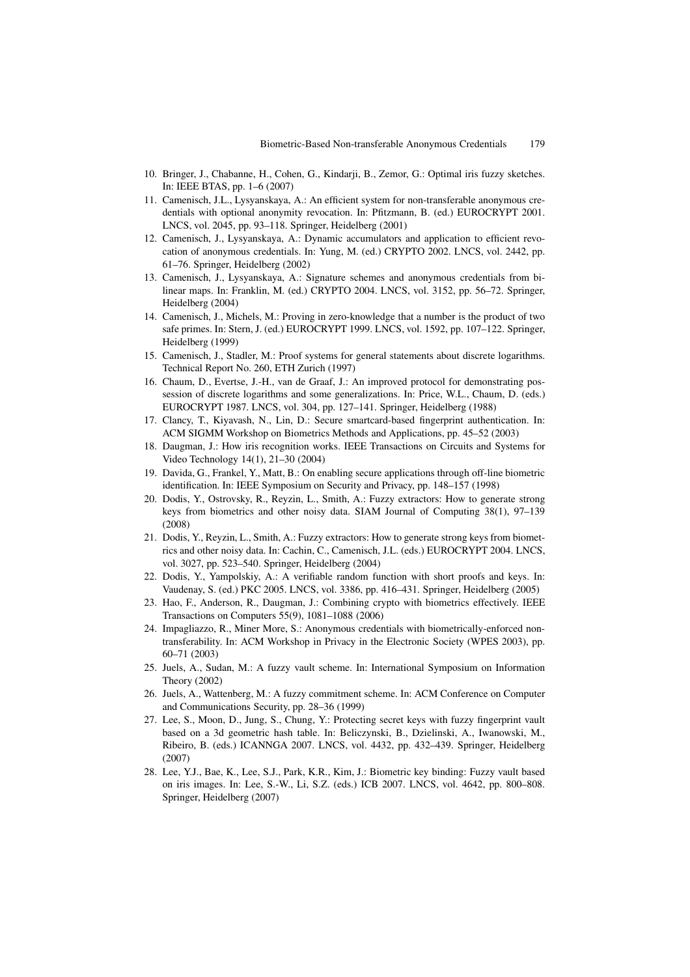- <span id="page-14-14"></span>10. Bringer, J., Chabanne, H., Cohen, G., Kindarji, B., Zemor, G.: Optimal iris fuzzy sketches. In: IEEE BTAS, pp. 1–6 (2007)
- <span id="page-14-18"></span>11. Camenisch, J.L., Lysyanskaya, A.: An efficient system for non-transferable anonymous credentials with optional anonymity revocation. In: Pfitzmann, B. (ed.) EUROCRYPT 2001. LNCS, vol. 2045, pp. 93–118. Springer, Heidelberg (2001)
- <span id="page-14-1"></span>12. Camenisch, J., Lysyanskaya, A.: Dynamic accumulators and application to efficient revocation of anonymous credentials. In: Yung, M. (ed.) CRYPTO 2002. LNCS, vol. 2442, pp. 61–76. Springer, Heidelberg (2002)
- <span id="page-14-2"></span>13. Camenisch, J., Lysyanskaya, A.: Signature schemes and anonymous credentials from bilinear maps. In: Franklin, M. (ed.) CRYPTO 2004. LNCS, vol. 3152, pp. 56–72. Springer, Heidelberg (2004)
- <span id="page-14-5"></span>14. Camenisch, J., Michels, M.: Proving in zero-knowledge that a number is the product of two safe primes. In: Stern, J. (ed.) EUROCRYPT 1999. LNCS, vol. 1592, pp. 107–122. Springer, Heidelberg (1999)
- <span id="page-14-4"></span>15. Camenisch, J., Stadler, M.: Proof systems for general statements about discrete logarithms. Technical Report No. 260, ETH Zurich (1997)
- <span id="page-14-3"></span>16. Chaum, D., Evertse, J.-H., van de Graaf, J.: An improved protocol for demonstrating possession of discrete logarithms and some generalizations. In: Price, W.L., Chaum, D. (eds.) EUROCRYPT 1987. LNCS, vol. 304, pp. 127–141. Springer, Heidelberg (1988)
- <span id="page-14-7"></span>17. Clancy, T., Kiyavash, N., Lin, D.: Secure smartcard-based fingerprint authentication. In: ACM SIGMM Workshop on Biometrics Methods and Applications, pp. 45–52 (2003)
- <span id="page-14-16"></span>18. Daugman, J.: How iris recognition works. IEEE Transactions on Circuits and Systems for Video Technology 14(1), 21–30 (2004)
- <span id="page-14-17"></span>19. Davida, G., Frankel, Y., Matt, B.: On enabling secure applications through off-line biometric identification. In: IEEE Symposium on Security and Privacy, pp. 148–157 (1998)
- <span id="page-14-12"></span>20. Dodis, Y., Ostrovsky, R., Reyzin, L., Smith, A.: Fuzzy extractors: How to generate strong keys from biometrics and other noisy data. SIAM Journal of Computing 38(1), 97–139 (2008)
- <span id="page-14-10"></span>21. Dodis, Y., Reyzin, L., Smith, A.: Fuzzy extractors: How to generate strong keys from biometrics and other noisy data. In: Cachin, C., Camenisch, J.L. (eds.) EUROCRYPT 2004. LNCS, vol. 3027, pp. 523–540. Springer, Heidelberg (2004)
- <span id="page-14-15"></span>22. Dodis, Y., Yampolskiy, A.: A verifiable random function with short proofs and keys. In: Vaudenay, S. (ed.) PKC 2005. LNCS, vol. 3386, pp. 416–431. Springer, Heidelberg (2005)
- <span id="page-14-13"></span>23. Hao, F., Anderson, R., Daugman, J.: Combining crypto with biometrics effectively. IEEE Transactions on Computers 55(9), 1081–1088 (2006)
- <span id="page-14-0"></span>24. Impagliazzo, R., Miner More, S.: Anonymous credentials with biometrically-enforced nontransferability. In: ACM Workshop in Privacy in the Electronic Society (WPES 2003), pp. 60–71 (2003)
- <span id="page-14-6"></span>25. Juels, A., Sudan, M.: A fuzzy vault scheme. In: International Symposium on Information Theory (2002)
- <span id="page-14-11"></span>26. Juels, A., Wattenberg, M.: A fuzzy commitment scheme. In: ACM Conference on Computer and Communications Security, pp. 28–36 (1999)
- <span id="page-14-9"></span>27. Lee, S., Moon, D., Jung, S., Chung, Y.: Protecting secret keys with fuzzy fingerprint vault based on a 3d geometric hash table. In: Beliczynski, B., Dzielinski, A., Iwanowski, M., Ribeiro, B. (eds.) ICANNGA 2007. LNCS, vol. 4432, pp. 432–439. Springer, Heidelberg (2007)
- <span id="page-14-8"></span>28. Lee, Y.J., Bae, K., Lee, S.J., Park, K.R., Kim, J.: Biometric key binding: Fuzzy vault based on iris images. In: Lee, S.-W., Li, S.Z. (eds.) ICB 2007. LNCS, vol. 4642, pp. 800–808. Springer, Heidelberg (2007)